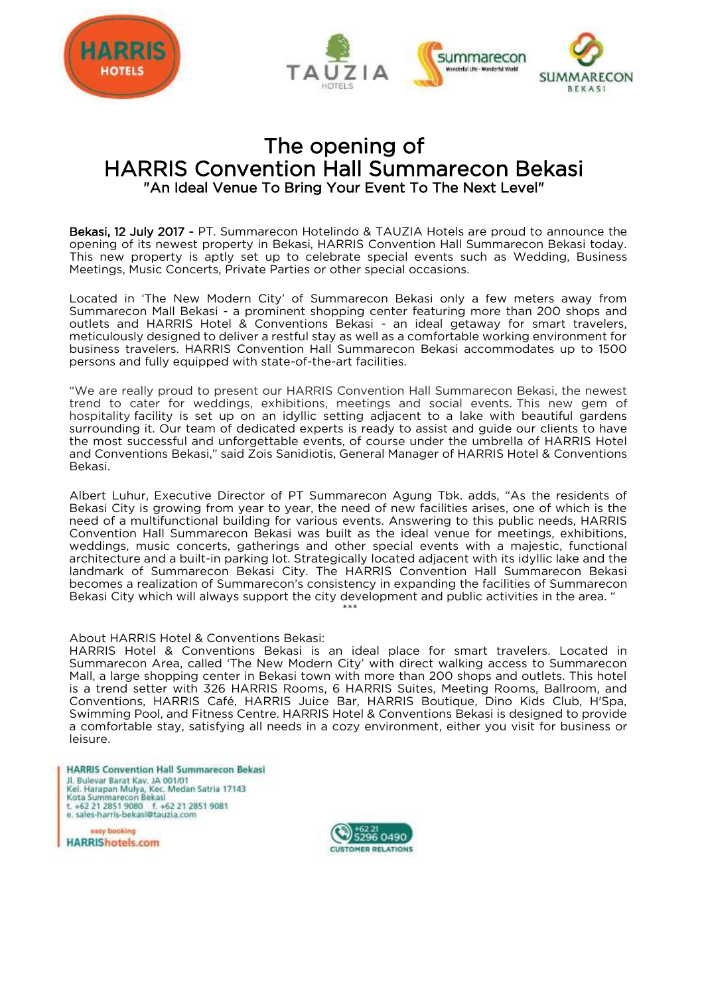



# The opening of HARRIS Convention Hall Summarecon Bekasi "An Ideal Venue To Bring Your Event To The Next Level"

Bekasi, 12 July 2017 - PT. Summarecon Hotelindo & TAUZIA Hotels are proud to announce the opening of its newest property in Bekasi, HARRIS Convention Hall Summarecon Bekasi today. This new property is aptly set up to celebrate special events such as Wedding, Business Meetings, Music Concerts, Private Parties or other special occasions.

Located in 'The New Modern City' of Summarecon Bekasi only a few meters away from Summarecon Mall Bekasi - a prominent shopping center featuring more than 200 shops and outlets and HARRIS Hotel & Conventions Bekasi - an ideal getaway for smart travelers, meticulously designed to deliver a restful stay as well as a comfortable working environment for business travelers. HARRIS Convention Hall Summarecon Bekasi accommodates up to 1500 persons and fully equipped with state-of-the-art facilities.

"We are really proud to present our HARRIS Convention Hall Summarecon Bekasi, the newest trend to cater for weddings, exhibitions, meetings and social events. This new gem of hospitality facility is set up on an idyllic setting adjacent to a lake with beautiful gardens surrounding it. Our team of dedicated experts is ready to assist and guide our clients to have the most successful and unforgettable events, of course under the umbrella of HARRIS Hotel and Conventions Bekasi," said Zois Sanidiotis, General Manager of HARRIS Hotel & Conventions Bekasi.

Albert Luhur, Executive Director of PT Summarecon Agung Tbk. adds, "As the residents of Bekasi City is growing from year to year, the need of new facilities arises, one of which is the need of a multifunctional building for various events. Answering to this public needs, HARRIS Convention Hall Summarecon Bekasi was built as the ideal venue for meetings, exhibitions, weddings, music concerts, gatherings and other special events with a majestic, functional architecture and a built-in parking lot. Strategically located adjacent with its idyllic lake and the landmark of Summarecon Bekasi City. The HARRIS Convention Hall Summarecon Bekasi becomes a realization of Summarecon's consistency in expanding the facilities of Summarecon Bekasi City which will always support the city development and public activities in the area. "

# \*\*\*

#### About HARRIS Hotel & Conventions Bekasi:

HARRIS Hotel & Conventions Bekasi is an ideal place for smart travelers. Located in Summarecon Area, called 'The New Modern City' with direct walking access to Summarecon Mall, a large shopping center in Bekasi town with more than 200 shops and outlets. This hotel is a trend setter with 326 HARRIS Rooms, 6 HARRIS Suites, Meeting Rooms, Ballroom, and Conventions, HARRIS Café, HARRIS Juice Bar, HARRIS Boutique, Dino Kids Club, H'Spa, Swimming Pool, and Fitness Centre. HARRIS Hotel & Conventions Bekasi is designed to provide a comfortable stay, satisfying all needs in a cozy environment, either you visit for business or leisure.

**HARRIS Convention Hall Summarecon Bekasi** Jl. Bulevar Barat Kav. JA 001/01 n. Bulleville Barth, K. B. M. Medan Satria 17143<br>Kota Summarecon Bekasi<br>t. +62 21 2851 9080 f. +62 21 2851 9081 e. sales-harris-bekasi@tauzia.com

easy booking **HARRIShotels.com**